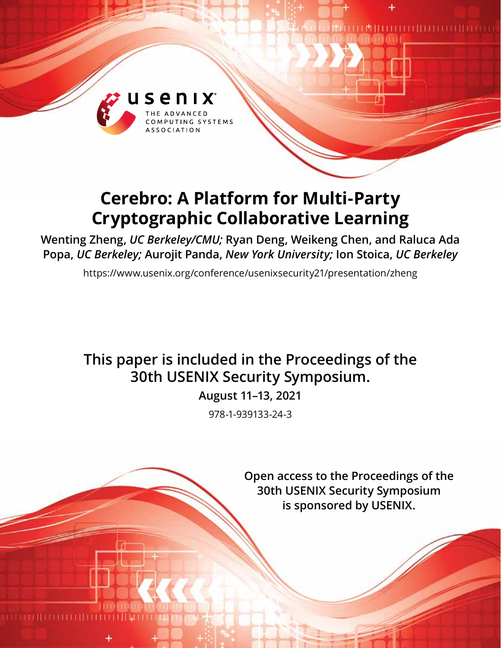

# **Cerebro: A Platform for Multi-Party Cryptographic Collaborative Learning**

**Wenting Zheng,** *UC Berkeley/CMU;* **Ryan Deng, Weikeng Chen, and Raluca Ada Popa,** *UC Berkeley;* **Aurojit Panda,** *New York University;* **Ion Stoica,** *UC Berkeley*

https://www.usenix.org/conference/usenixsecurity21/presentation/zheng

# **This paper is included in the Proceedings of the 30th USENIX Security Symposium.**

**August 11–13, 2021**

978-1-939133-24-3

**Open access to the Proceedings of the 30th USENIX Security Symposium is sponsored by USENIX.**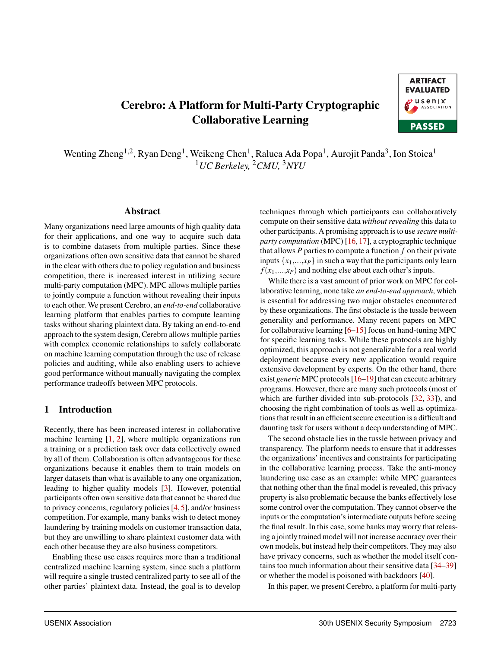# Cerebro: A Platform for Multi-Party Cryptographic Collaborative Learning



Wenting Zheng<sup>1,2</sup>, Ryan Deng<sup>1</sup>, Weikeng Chen<sup>1</sup>, Raluca Ada Popa<sup>1</sup>, Aurojit Panda<sup>3</sup>, Ion Stoica<sup>1</sup> <sup>1</sup>*UC Berkeley,* <sup>2</sup>*CMU,* <sup>3</sup>*NYU*

## Abstract

Many organizations need large amounts of high quality data for their applications, and one way to acquire such data is to combine datasets from multiple parties. Since these organizations often own sensitive data that cannot be shared in the clear with others due to policy regulation and business competition, there is increased interest in utilizing secure multi-party computation (MPC). MPC allows multiple parties to jointly compute a function without revealing their inputs to each other. We present Cerebro, an *end-to-end* collaborative learning platform that enables parties to compute learning tasks without sharing plaintext data. By taking an end-to-end approach to the system design, Cerebro allows multiple parties with complex economic relationships to safely collaborate on machine learning computation through the use of release policies and auditing, while also enabling users to achieve good performance without manually navigating the complex performance tradeoffs between MPC protocols.

## 1 Introduction

Recently, there has been increased interest in collaborative machine learning  $[1, 2]$ , where multiple organizations run a training or a prediction task over data collectively owned by all of them. Collaboration is often advantageous for these organizations because it enables them to train models on larger datasets than what is available to any one organization, leading to higher quality models [3]. However, potential participants often own sensitive data that cannot be shared due to privacy concerns, regulatory policies [4, 5], and/or business competition. For example, many banks wish to detect money laundering by training models on customer transaction data, but they are unwilling to share plaintext customer data with each other because they are also business competitors.

Enabling these use cases requires more than a traditional centralized machine learning system, since such a platform will require a single trusted centralized party to see all of the other parties' plaintext data. Instead, the goal is to develop

techniques through which participants can collaboratively compute on their sensitive data *without revealing* this data to other participants. A promising approach is to use *secure multiparty computation* (MPC) [16, 17], a cryptographic technique that allows  $P$  parties to compute a function  $f$  on their private inputs  $\{x_1, \ldots, x_p\}$  in such a way that the participants only learn  $f(x_1, \ldots, x_P)$  and nothing else about each other's inputs.

While there is a vast amount of prior work on MPC for collaborative learning, none take *an end-to-end approach*, which is essential for addressing two major obstacles encountered by these organizations. The first obstacle is the tussle between generality and performance. Many recent papers on MPC for collaborative learning  $[6–15]$  focus on hand-tuning MPC for specific learning tasks. While these protocols are highly optimized, this approach is not generalizable for a real world deployment because every new application would require extensive development by experts. On the other hand, there exist *generic* MPC protocols [16–19] that can execute arbitrary programs. However, there are many such protocols (most of which are further divided into sub-protocols [32, 33]), and choosing the right combination of tools as well as optimizations that result in an efficient secure execution is a difficult and daunting task for users without a deep understanding of MPC.

The second obstacle lies in the tussle between privacy and transparency. The platform needs to ensure that it addresses the organizations' incentives and constraints for participating in the collaborative learning process. Take the anti-money laundering use case as an example: while MPC guarantees that nothing other than the final model is revealed, this privacy property is also problematic because the banks effectively lose some control over the computation. They cannot observe the inputs or the computation's intermediate outputs before seeing the final result. In this case, some banks may worry that releasing a jointly trained model will not increase accuracy over their own models, but instead help their competitors. They may also have privacy concerns, such as whether the model itself contains too much information about their sensitive data [34–39] or whether the model is poisoned with backdoors [40].

In this paper, we present Cerebro, a platform for multi-party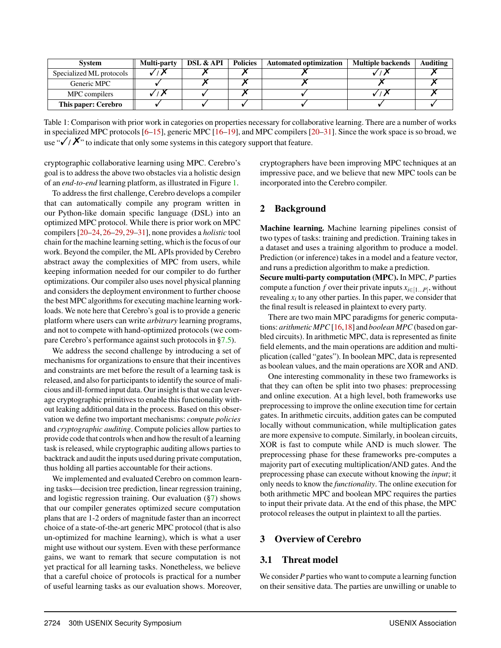| <b>System</b>            | <b>Multi-party</b> | <b>DSL &amp; API</b> | <b>Policies</b> | <b>Automated optimization</b> | <b>Multiple backends</b> | Auditing |
|--------------------------|--------------------|----------------------|-----------------|-------------------------------|--------------------------|----------|
| Specialized ML protocols |                    |                      |                 |                               |                          |          |
| Generic MPC              |                    |                      |                 |                               |                          |          |
| MPC compilers            |                    |                      |                 |                               |                          |          |
| This paper: Cerebro      |                    |                      |                 |                               |                          |          |

Table 1: Comparison with prior work in categories on properties necessary for collaborative learning. There are a number of works in specialized MPC protocols [6–15], generic MPC [16–19], and MPC compilers [20–31]. Since the work space is so broad, we use " $\sqrt{/}/\cancel{\cdot}$ " to indicate that only some systems in this category support that feature.

cryptographic collaborative learning using MPC. Cerebro's goal is to address the above two obstacles via a holistic design of an *end-to-end* learning platform, as illustrated in Figure 1.

To address the first challenge, Cerebro develops a compiler that can automatically compile any program written in our Python-like domain specific language (DSL) into an optimized MPC protocol. While there is prior work on MPC compilers [20–24,26–29,29–31], none provides a *holistic* tool chain for the machine learning setting, which is the focus of our work. Beyond the compiler, the ML APIs provided by Cerebro abstract away the complexities of MPC from users, while keeping information needed for our compiler to do further optimizations. Our compiler also uses novel physical planning and considers the deployment environment to further choose the best MPC algorithms for executing machine learning workloads. We note here that Cerebro's goal is to provide a generic platform where users can write *arbitrary* learning programs, and not to compete with hand-optimized protocols (we compare Cerebro's performance against such protocols in §7.5).

We address the second challenge by introducing a set of mechanisms for organizations to ensure that their incentives and constraints are met before the result of a learning task is released, and also for participants to identify the source of malicious and ill-formed input data. Our insight is that we can leverage cryptographic primitives to enable this functionality without leaking additional data in the process. Based on this observation we define two important mechanisms: *compute policies* and *cryptographic auditing*. Compute policies allow parties to provide code that controls when and how the result of a learning task is released, while cryptographic auditing allows parties to backtrack and audit the inputs used during private computation, thus holding all parties accountable for their actions.

We implemented and evaluated Cerebro on common learning tasks—decision tree prediction, linear regression training, and logistic regression training. Our evaluation (§7) shows that our compiler generates optimized secure computation plans that are 1-2 orders of magnitude faster than an incorrect choice of a state-of-the-art generic MPC protocol (that is also un-optimized for machine learning), which is what a user might use without our system. Even with these performance gains, we want to remark that secure computation is not yet practical for all learning tasks. Nonetheless, we believe that a careful choice of protocols is practical for a number of useful learning tasks as our evaluation shows. Moreover, cryptographers have been improving MPC techniques at an impressive pace, and we believe that new MPC tools can be incorporated into the Cerebro compiler.

# 2 Background

Machine learning. Machine learning pipelines consist of two types of tasks: training and prediction. Training takes in a dataset and uses a training algorithm to produce a model. Prediction (or inference) takes in a model and a feature vector, and runs a prediction algorithm to make a prediction.

Secure multi-party computation (MPC). In MPC, *P* parties compute a function *f* over their private inputs  $x_{i\in[1...P]}$ , without revealing  $x_i$  to any other parties. In this paper, we consider that the final result is released in plaintext to every party.

There are two main MPC paradigms for generic computations: *arithmetic MPC* [16,18] and *boolean MPC* (based on garbled circuits). In arithmetic MPC, data is represented as finite field elements, and the main operations are addition and multiplication (called "gates"). In boolean MPC, data is represented as boolean values, and the main operations are XOR and AND.

One interesting commonality in these two frameworks is that they can often be split into two phases: preprocessing and online execution. At a high level, both frameworks use preprocessing to improve the online execution time for certain gates. In arithmetic circuits, addition gates can be computed locally without communication, while multiplication gates are more expensive to compute. Similarly, in boolean circuits, XOR is fast to compute while AND is much slower. The preprocessing phase for these frameworks pre-computes a majority part of executing multiplication/AND gates. And the preprocessing phase can execute without knowing the *input*; it only needs to know the *functionality*. The online execution for both arithmetic MPC and boolean MPC requires the parties to input their private data. At the end of this phase, the MPC protocol releases the output in plaintext to all the parties.

# 3 Overview of Cerebro

# 3.1 Threat model

We consider *P* parties who want to compute a learning function on their sensitive data. The parties are unwilling or unable to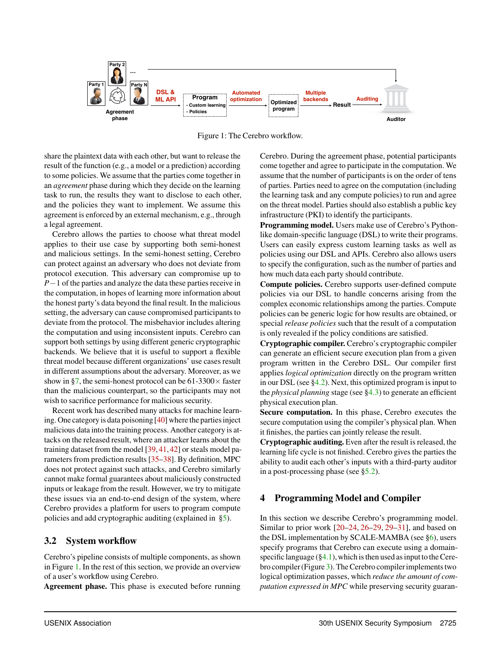

Figure 1: The Cerebro workflow.

share the plaintext data with each other, but want to release the result of the function (e.g., a model or a prediction) according to some policies. We assume that the parties come together in an *agreement* phase during which they decide on the learning task to run, the results they want to disclose to each other, and the policies they want to implement. We assume this agreement is enforced by an external mechanism, e.g., through a legal agreement.

Cerebro allows the parties to choose what threat model applies to their use case by supporting both semi-honest and malicious settings. In the semi-honest setting, Cerebro can protect against an adversary who does not deviate from protocol execution. This adversary can compromise up to  $P-1$  of the parties and analyze the data these parties receive in the computation, in hopes of learning more information about the honest party's data beyond the final result. In the malicious setting, the adversary can cause compromised participants to deviate from the protocol. The misbehavior includes altering the computation and using inconsistent inputs. Cerebro can support both settings by using different generic cryptographic backends. We believe that it is useful to support a flexible threat model because different organizations' use cases result in different assumptions about the adversary. Moreover, as we show in §7, the semi-honest protocol can be 61-3300 $\times$  faster than the malicious counterpart, so the participants may not wish to sacrifice performance for malicious security.

Recent work has described many attacks for machine learning. One category is data poisoning [40] where the parties inject malicious data into the training process. Another category is attacks on the released result, where an attacker learns about the training dataset from the model [39, 41, 42] or steals model parameters from prediction results [35–38]. By definition, MPC does not protect against such attacks, and Cerebro similarly cannot make formal guarantees about maliciously constructed inputs or leakage from the result. However, we try to mitigate these issues via an end-to-end design of the system, where Cerebro provides a platform for users to program compute policies and add cryptographic auditing (explained in §5).

# 3.2 System workflow

Cerebro's pipeline consists of multiple components, as shown in Figure 1. In the rest of this section, we provide an overview of a user's workflow using Cerebro.

Agreement phase. This phase is executed before running

Cerebro. During the agreement phase, potential participants come together and agree to participate in the computation. We assume that the number of participants is on the order of tens of parties. Parties need to agree on the computation (including the learning task and any compute policies) to run and agree on the threat model. Parties should also establish a public key infrastructure (PKI) to identify the participants.

Programming model. Users make use of Cerebro's Pythonlike domain-specific language (DSL) to write their programs. Users can easily express custom learning tasks as well as policies using our DSL and APIs. Cerebro also allows users to specify the configuration, such as the number of parties and how much data each party should contribute.

Compute policies. Cerebro supports user-defined compute policies via our DSL to handle concerns arising from the complex economic relationships among the parties. Compute policies can be generic logic for how results are obtained, or special *release policies* such that the result of a computation is only revealed if the policy conditions are satisfied.

Cryptographic compiler. Cerebro's cryptographic compiler can generate an efficient secure execution plan from a given program written in the Cerebro DSL. Our compiler first applies *logical optimization* directly on the program written in our DSL (see  $\S 4.2$ ). Next, this optimized program is input to the *physical planning* stage (see §4.3) to generate an efficient physical execution plan.

Secure computation. In this phase, Cerebro executes the secure computation using the compiler's physical plan. When it finishes, the parties can jointly release the result.

Cryptographic auditing. Even after the result is released, the learning life cycle is not finished. Cerebro gives the parties the ability to audit each other's inputs with a third-party auditor in a post-processing phase (see §5.2).

# 4 Programming Model and Compiler

In this section we describe Cerebro's programming model. Similar to prior work [20–24, 26–29, 29–31], and based on the DSL implementation by SCALE-MAMBA (see §6), users specify programs that Cerebro can execute using a domainspecific language  $(\S 4.1)$ , which is then used as input to the Cerebro compiler (Figure 3). The Cerebro compiler implements two logical optimization passes, which *reduce the amount of computation expressed in MPC* while preserving security guaran-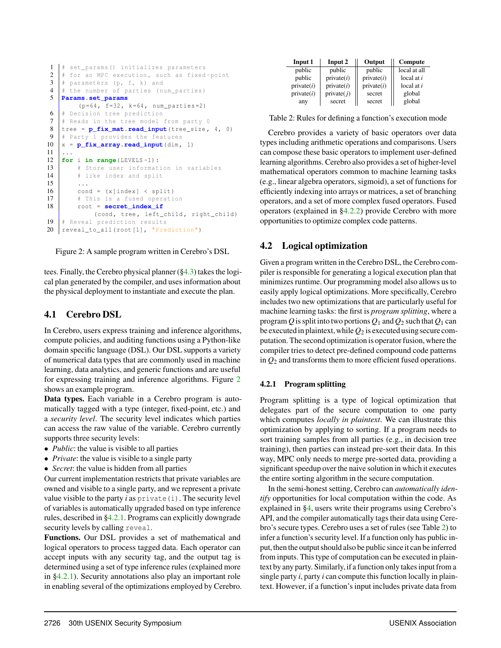```
1 | # set_params () initializes parameters
2 \mid # for an MPC execution, such as fixed-point
3 \# parameters (p, f, k) and
\frac{4}{5} # the number of parties (num_parties)
    5 Params.set_params
          (p=64, f=32, k=64, num\_parties = 2)6 | # Decision tree prediction
 7 \# Reads in the tree model from party 0
 \begin{array}{c}\n8 \\
\text{tree} = \mathbf{p\_fix\_mat}.\text{read\_input}(\text{tree\_size}, 4, 0) \\
\text{H Part } 1 \text{ provides the features}\n\end{array}# Party 1 provides the features
10 \mid x = p_{\text{fix} \text{array}}.read_input (dim, 1)
1112 for i in range(LEVELS-1):
13 \parallel # Store user information in variables<br>14 \parallel # like index and split
          # like index and split
15 ...
16 | cond = (x[index] < split)17 | # This is a fused operation
18 | root = secret_index_if
              (cond, tree, left_child, right_child)
19 \# Reveal prediction results
20 | reveal_to_all (root [1], "Prediction")
```
Figure 2: A sample program written in Cerebro's DSL

tees. Finally, the Cerebro physical planner (§4.3) takes the logical plan generated by the compiler, and uses information about the physical deployment to instantiate and execute the plan.

# 4.1 Cerebro DSL

In Cerebro, users express training and inference algorithms, compute policies, and auditing functions using a Python-like domain specific language (DSL). Our DSL supports a variety of numerical data types that are commonly used in machine learning, data analytics, and generic functions and are useful for expressing training and inference algorithms. Figure 2 shows an example program.

Data types. Each variable in a Cerebro program is automatically tagged with a type (integer, fixed-point, etc.) and a *security level*. The security level indicates which parties can access the raw value of the variable. Cerebro currently supports three security levels:

- *Public*: the value is visible to all parties
- *• Private*: the value is visible to a single party
- *• Secret*: the value is hidden from all parties

Our current implementation restricts that private variables are owned and visible to a single party, and we represent a private value visible to the party  $i$  as  $\text{private}(i)$ . The security level of variables is automatically upgraded based on type inference rules, described in §4.2.1. Programs can explicitly downgrade security levels by calling reveal.

Functions. Our DSL provides a set of mathematical and logical operators to process tagged data. Each operator can accept inputs with any security tag, and the output tag is determined using a set of type inference rules (explained more in §4.2.1). Security annotations also play an important role in enabling several of the optimizations employed by Cerebro.

| Input 1    | Input 2       | Output     | Compute      |
|------------|---------------|------------|--------------|
| public     | public        | public     | local at all |
| public     | private(i)    | private(i) | local at $i$ |
| private(i) | private(i)    | private(i) | local at $i$ |
| private(i) | private $(i)$ | secret     | global       |
| any        | secret        | secret     | global       |

Table 2: Rules for defining a function's execution mode

Cerebro provides a variety of basic operators over data types including arithmetic operations and comparisons. Users can compose these basic operators to implement user-defined learning algorithms. Cerebro also provides a set of higher-level mathematical operators common to machine learning tasks (e.g., linear algebra operators, sigmoid), a set of functions for efficiently indexing into arrays or matrices, a set of branching operators, and a set of more complex fused operators. Fused operators (explained in §4.2.2) provide Cerebro with more opportunities to optimize complex code patterns.

# 4.2 Logical optimization

Given a program written in the Cerebro DSL, the Cerebro compiler is responsible for generating a logical execution plan that minimizes runtime. Our programming model also allows us to easily apply logical optimizations. More specifically, Cerebro includes two new optimizations that are particularly useful for machine learning tasks: the first is *program splitting*, where a program *Q* is split into two portions  $Q_1$  and  $Q_2$  such that  $Q_1$  can be executed in plaintext, while  $Q_2$  is executed using secure computation. The second optimization is operator fusion, where the compiler tries to detect pre-defined compound code patterns in *Q*<sup>2</sup> and transforms them to more efficient fused operations.

## 4.2.1 Program splitting

Program splitting is a type of logical optimization that delegates part of the secure computation to one party which computes *locally in plaintext*. We can illustrate this optimization by applying to sorting. If a program needs to sort training samples from all parties (e.g., in decision tree training), then parties can instead pre-sort their data. In this way, MPC only needs to merge pre-sorted data, providing a significant speedup over the naive solution in which it executes the entire sorting algorithm in the secure computation.

In the semi-honest setting, Cerebro can *automatically identify* opportunities for local computation within the code. As explained in §4, users write their programs using Cerebro's API, and the compiler automatically tags their data using Cerebro's secure types. Cerebro uses a set of rules (see Table 2) to infer a function's security level. If a function only has public input, then the output should also be public since it can be inferred from inputs. This type of computation can be executed in plaintext by any party. Similarly, if a function only takes input from a single party *i*, party *i* can compute this function locally in plaintext. However, if a function's input includes private data from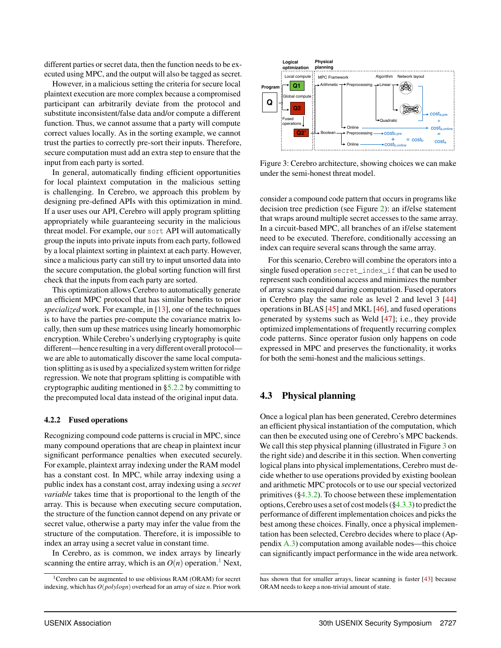different parties or secret data, then the function needs to be executed using MPC, and the output will also be tagged as secret.

However, in a malicious setting the criteria for secure local plaintext execution are more complex because a compromised participant can arbitrarily deviate from the protocol and substitute inconsistent/false data and/or compute a different function. Thus, we cannot assume that a party will compute correct values locally. As in the sorting example, we cannot trust the parties to correctly pre-sort their inputs. Therefore, secure computation must add an extra step to ensure that the input from each party is sorted.

In general, automatically finding efficient opportunities for local plaintext computation in the malicious setting is challenging. In Cerebro, we approach this problem by designing pre-defined APIs with this optimization in mind. If a user uses our API, Cerebro will apply program splitting appropriately while guaranteeing security in the malicious threat model. For example, our sort API will automatically group the inputs into private inputs from each party, followed by a local plaintext sorting in plaintext at each party. However, since a malicious party can still try to input unsorted data into the secure computation, the global sorting function will first check that the inputs from each party are sorted.

This optimization allows Cerebro to automatically generate an efficient MPC protocol that has similar benefits to prior *specialized* work. For example, in [13], one of the techniques is to have the parties pre-compute the covariance matrix locally, then sum up these matrices using linearly homomorphic encryption. While Cerebro's underlying cryptography is quite different—hence resulting in a very different overall protocol we are able to automatically discover the same local computation splitting as is used by a specialized system written for ridge regression. We note that program splitting is compatible with cryptographic auditing mentioned in §5.2.2 by committing to the precomputed local data instead of the original input data.

#### 4.2.2 Fused operations

Recognizing compound code patterns is crucial in MPC, since many compound operations that are cheap in plaintext incur significant performance penalties when executed securely. For example, plaintext array indexing under the RAM model has a constant cost. In MPC, while array indexing using a public index has a constant cost, array indexing using a *secret variable* takes time that is proportional to the length of the array. This is because when executing secure computation, the structure of the function cannot depend on any private or secret value, otherwise a party may infer the value from the structure of the computation. Therefore, it is impossible to index an array using a secret value in constant time.

In Cerebro, as is common, we index arrays by linearly scanning the entire array, which is an  $O(n)$  operation.<sup>1</sup> Next,



Figure 3: Cerebro architecture, showing choices we can make under the semi-honest threat model.

consider a compound code pattern that occurs in programs like decision tree prediction (see Figure 2): an if/else statement that wraps around multiple secret accesses to the same array. In a circuit-based MPC, all branches of an if/else statement need to be executed. Therefore, conditionally accessing an index can require several scans through the same array.

For this scenario, Cerebro will combine the operators into a single fused operation secret\_index\_if that can be used to represent such conditional access and minimizes the number of array scans required during computation. Fused operators in Cerebro play the same role as level 2 and level 3 [44] operations in BLAS [45] and MKL [46], and fused operations generated by systems such as Weld [47]; i.e., they provide optimized implementations of frequently recurring complex code patterns. Since operator fusion only happens on code expressed in MPC and preserves the functionality, it works for both the semi-honest and the malicious settings.

## 4.3 Physical planning

Once a logical plan has been generated, Cerebro determines an efficient physical instantiation of the computation, which can then be executed using one of Cerebro's MPC backends. We call this step physical planning (illustrated in Figure 3 on the right side) and describe it in this section. When converting logical plans into physical implementations, Cerebro must decide whether to use operations provided by existing boolean and arithmetic MPC protocols or to use our special vectorized primitives  $(\S 4.3.2)$ . To choose between these implementation options, Cerebro uses a set of cost models  $(\S4.3.3)$  to predict the performance of different implementation choices and picks the best among these choices. Finally, once a physical implementation has been selected, Cerebro decides where to place (Appendix A.3) computation among available nodes—this choice can significantly impact performance in the wide area network.

<sup>&</sup>lt;sup>1</sup> Cerebro can be augmented to use oblivious RAM (ORAM) for secret indexing, which has *O*(*polylogn*) overhead for an array of size *n*. Prior work

has shown that for smaller arrays, linear scanning is faster [43] because ORAM needs to keep a non-trivial amount of state.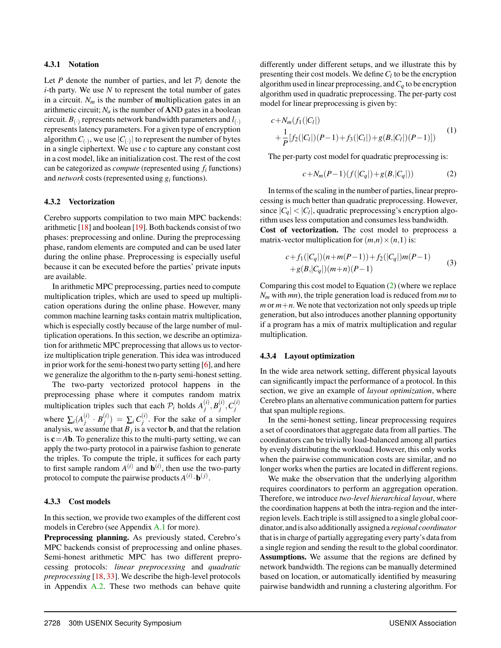#### 4.3.1 Notation

Let *P* denote the number of parties, and let  $P_i$  denote the *i*-th party. We use *N* to represent the total number of gates in a circuit.  $N_m$  is the number of **multiplication** gates in an arithmetic circuit;  $N_a$  is the number of AND gates in a boolean circuit.  $B_{(.)}$  represents network bandwidth parameters and  $l_{(.)}$ represents latency parameters. For a given type of encryption algorithm  $C_{(\cdot)}$ , we use  $|C_{(\cdot)}|$  to represent the number of bytes in a single ciphertext. We use *c* to capture any constant cost in a cost model, like an initialization cost. The rest of the cost can be categorized as *compute* (represented using *fi* functions) and *network* costs (represented using *gi* functions).

#### 4.3.2 Vectorization

Cerebro supports compilation to two main MPC backends: arithmetic [18] and boolean [19]. Both backends consist of two phases: preprocessing and online. During the preprocessing phase, random elements are computed and can be used later during the online phase. Preprocessing is especially useful because it can be executed before the parties' private inputs are available.

In arithmetic MPC preprocessing, parties need to compute multiplication triples, which are used to speed up multiplication operations during the online phase. However, many common machine learning tasks contain matrix multiplication, which is especially costly because of the large number of multiplication operations. In this section, we describe an optimization for arithmetic MPC preprocessing that allows us to vectorize multiplication triple generation. This idea was introduced in prior work for the semi-honest two party setting [6], and here we generalize the algorithm to the n-party semi-honest setting.

The two-party vectorized protocol happens in the preprocessing phase where it computes random matrix multiplication triples such that each  $\mathcal{P}_i$  holds  $A_j^{(i)}, B_j^{(i)}, C_j^{(i)}$ where  $\sum_i (A_j^{(i)} \cdot B_j^{(i)}) = \sum_i C_j^{(i)}$ . For the sake of a simpler analysis, we assume that  $B_j$  is a vector **b**, and that the relation is c=*A*b. To generalize this to the multi-party setting, we can apply the two-party protocol in a pairwise fashion to generate the triples. To compute the triple, it suffices for each party to first sample random  $A^{(i)}$  and  $\mathbf{b}^{(i)}$ , then use the two-party protocol to compute the pairwise products  $A^{(i)} \cdot \mathbf{b}^{(j)}$ .

#### 4.3.3 Cost models

In this section, we provide two examples of the different cost models in Cerebro (see Appendix A.1 for more).

Preprocessing planning. As previously stated, Cerebro's MPC backends consist of preprocessing and online phases. Semi-honest arithmetic MPC has two different preprocessing protocols: *linear preprocessing* and *quadratic preprocessing* [18, 33]. We describe the high-level protocols in Appendix A.2. These two methods can behave quite

differently under different setups, and we illustrate this by presenting their cost models. We define  $C_l$  to be the encryption algorithm used in linear preprocessing, and  $C_q$  to be encryption algorithm used in quadratic preprocessing. The per-party cost model for linear preprocessing is given by:

$$
c + N_m(f_1(|C_l|) + \frac{1}{P}[f_2(|C_l|)(P-1) + f_3(|C_l|) + g(B_s|C_l|)(P-1)])
$$
\n(1)

The per-party cost model for quadratic preprocessing is:

$$
c + N_m(P - 1)(f(|C_q|) + g(B, |C_q|))
$$
 (2)

In terms of the scaling in the number of parties, linear preprocessing is much better than quadratic preprocessing. However, since  $|C_q|$  <  $|C_l|$ , quadratic preprocessing's encryption algorithm uses less computation and consumes less bandwidth. Cost of vectorization. The cost model to preprocess a

matrix-vector multiplication for  $(m,n) \times (n,1)$  is:

$$
c+f_1(|C_q|)(n+m(P-1))+f_2(|C_q|)m(P-1)
$$
  
+g(B,|C\_q|)(m+n)(P-1) (3)

Comparing this cost model to Equation (2) (where we replace *Nm* with *mn*), the triple generation load is reduced from *mn* to  $m \text{ or } m+n$ . We note that vectorization not only speeds up triple generation, but also introduces another planning opportunity if a program has a mix of matrix multiplication and regular multiplication.

#### 4.3.4 Layout optimization

In the wide area network setting, different physical layouts can significantly impact the performance of a protocol. In this section, we give an example of *layout optimization*, where Cerebro plans an alternative communication pattern for parties that span multiple regions.

In the semi-honest setting, linear preprocessing requires a set of coordinators that aggregate data from all parties. The coordinators can be trivially load-balanced among all parties by evenly distributing the workload. However, this only works when the pairwise communication costs are similar, and no longer works when the parties are located in different regions.

We make the observation that the underlying algorithm requires coordinators to perform an aggregation operation. Therefore, we introduce *two-level hierarchical layout*, where the coordination happens at both the intra-region and the interregion levels. Each triple is still assigned to a single global coordinator, andis also additionally assigned a *regional coordinator* that is in charge of partially aggregating every party's data from a single region and sending the result to the global coordinator. Assumptions. We assume that the regions are defined by network bandwidth. The regions can be manually determined based on location, or automatically identified by measuring pairwise bandwidth and running a clustering algorithm. For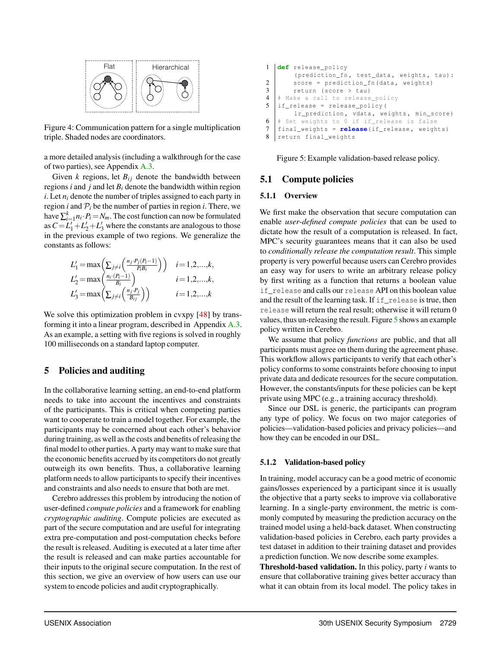

Figure 4: Communication pattern for a single multiplication triple. Shaded nodes are coordinators.

a more detailed analysis (including a walkthrough for the case of two parties), see Appendix A.3.

Given  $k$  regions, let  $B_{ij}$  denote the bandwidth between regions  $i$  and  $j$  and let  $B_i$  denote the bandwidth within region *i*. Let *ni* denote the number of triples assigned to each party in region *i* and  $P_i$  be the number of parties in region *i*. There, we have  $\sum_{i=1}^{k} n_i \cdot P_i = N_m$ . The cost function can now be formulated as  $C = L_1' + L_2' + L_3'$  where the constants are analogous to those in the previous example of two regions. We generalize the constants as follows:

$$
L'_1 = \max\left(\sum_{j\neq i} \left(\frac{n_j \cdot P_j(P_i-1)}{P_i B_i}\right)\right) \quad i=1,2,\ldots,k,
$$
  
\n
$$
L'_2 = \max\left(\frac{n_i \cdot (P_i-1)}{B_i}\right) \quad i=1,2,\ldots,k,
$$
  
\n
$$
L'_3 = \max\left(\sum_{j\neq i} \left(\frac{n_j \cdot P_j}{B_{ij}}\right)\right) \quad i=1,2,\ldots,k
$$

We solve this optimization problem in cvxpy [48] by transforming it into a linear program, described in Appendix A.3. As an example, a setting with five regions is solved in roughly 100 milliseconds on a standard laptop computer.

# 5 Policies and auditing

In the collaborative learning setting, an end-to-end platform needs to take into account the incentives and constraints of the participants. This is critical when competing parties want to cooperate to train a model together. For example, the participants may be concerned about each other's behavior during training, as well as the costs and benefits of releasing the final model to other parties. A party may want to make sure that the economic benefits accrued by its competitors do not greatly outweigh its own benefits. Thus, a collaborative learning platform needs to allow participants to specify their incentives and constraints and also needs to ensure that both are met.

Cerebro addresses this problem by introducing the notion of user-defined *compute policies* and a framework for enabling *cryptographic auditing*. Compute policies are executed as part of the secure computation and are useful for integrating extra pre-computation and post-computation checks before the result is released. Auditing is executed at a later time after the result is released and can make parties accountable for their inputs to the original secure computation. In the rest of this section, we give an overview of how users can use our system to encode policies and audit cryptographically.

```
1 def release_policy
         (prediction_fn, test_data, weights, tau):
2 score = prediction_fn (data, weights)
\begin{array}{c|c}\n3 & \text{return (score > tau)} \\
4 & \text{Make a call to release}\n\end{array}4 # Make a call to release_policy
5 | if_release = release_policy (
        lr_prediction , vdata , weights , min_score)
6 \mid # Set weights to 0 if if_release is false
7 final_weights = release(if_release , weights)
  return final_weights
```
Figure 5: Example validation-based release policy.

## 5.1 Compute policies

#### 5.1.1 Overview

We first make the observation that secure computation can enable *user-defined compute policies* that can be used to dictate how the result of a computation is released. In fact, MPC's security guarantees means that it can also be used to *conditionally release the computation result*. This simple property is very powerful because users can Cerebro provides an easy way for users to write an arbitrary release policy by first writing as a function that returns a boolean value if\_release and calls our release API on this boolean value and the result of the learning task. If if release is true, then release will return the real result; otherwise it will return 0 values, thus un-releasing the result. Figure 5 shows an example policy written in Cerebro.

We assume that policy *functions* are public, and that all participants must agree on them during the agreement phase. This workflow allows participants to verify that each other's policy conforms to some constraints before choosing to input private data and dedicate resources for the secure computation. However, the constants/inputs for these policies can be kept private using MPC (e.g., a training accuracy threshold).

Since our DSL is generic, the participants can program any type of policy. We focus on two major categories of policies—validation-based policies and privacy policies—and how they can be encoded in our DSL.

#### 5.1.2 Validation-based policy

In training, model accuracy can be a good metric of economic gains/losses experienced by a participant since it is usually the objective that a party seeks to improve via collaborative learning. In a single-party environment, the metric is commonly computed by measuring the prediction accuracy on the trained model using a held-back dataset. When constructing validation-based policies in Cerebro, each party provides a test dataset in addition to their training dataset and provides a prediction function. We now describe some examples.

Threshold-based validation. In this policy, party *i* wants to ensure that collaborative training gives better accuracy than what it can obtain from its local model. The policy takes in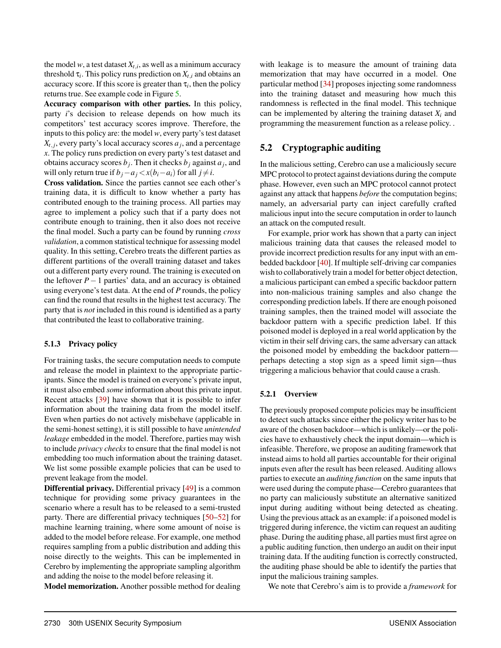the model *w*, a test dataset  $X_{t,i}$ , as well as a minimum accuracy threshold  $\tau_i$ . This policy runs prediction on  $X_{t,i}$  and obtains an accuracy score. If this score is greater than  $\tau_i$ , then the policy returns true. See example code in Figure 5.

Accuracy comparison with other parties. In this policy, party *i*'s decision to release depends on how much its competitors' test accuracy scores improve. Therefore, the inputs to this policy are: the model *w*, every party's test dataset  $X_{t,j}$ , every party's local accuracy scores  $a_j$ , and a percentage *x*. The policy runs prediction on every party's test dataset and obtains accuracy scores  $b_j$ . Then it checks  $b_j$  against  $a_j$ , and will only return true if  $b_j - a_j < x(b_i - a_i)$  for all  $j \neq i$ .

Cross validation. Since the parties cannot see each other's training data, it is difficult to know whether a party has contributed enough to the training process. All parties may agree to implement a policy such that if a party does not contribute enough to training, then it also does not receive the final model. Such a party can be found by running *cross validation*, a common statistical technique for assessing model quality. In this setting, Cerebro treats the different parties as different partitions of the overall training dataset and takes out a different party every round. The training is executed on the leftover  $P-1$  parties' data, and an accuracy is obtained using everyone's test data. At the end of *P* rounds, the policy can find the round that results in the highest test accuracy. The party that is *not* included in this round is identified as a party that contributed the least to collaborative training.

#### 5.1.3 Privacy policy

For training tasks, the secure computation needs to compute and release the model in plaintext to the appropriate participants. Since the model is trained on everyone's private input, it must also embed *some* information about this private input. Recent attacks [39] have shown that it is possible to infer information about the training data from the model itself. Even when parties do not actively misbehave (applicable in the semi-honest setting), it is still possible to have *unintended leakage* embedded in the model. Therefore, parties may wish to include *privacy checks* to ensure that the final model is not embedding too much information about the training dataset. We list some possible example policies that can be used to prevent leakage from the model.

Differential privacy. Differential privacy [49] is a common technique for providing some privacy guarantees in the scenario where a result has to be released to a semi-trusted party. There are differential privacy techniques [50–52] for machine learning training, where some amount of noise is added to the model before release. For example, one method requires sampling from a public distribution and adding this noise directly to the weights. This can be implemented in Cerebro by implementing the appropriate sampling algorithm and adding the noise to the model before releasing it.

Model memorization. Another possible method for dealing

with leakage is to measure the amount of training data memorization that may have occurred in a model. One particular method [34] proposes injecting some randomness into the training dataset and measuring how much this randomness is reflected in the final model. This technique can be implemented by altering the training dataset *Xi* and programming the measurement function as a release policy. .

# 5.2 Cryptographic auditing

In the malicious setting, Cerebro can use a maliciously secure MPC protocol to protect against deviations during the compute phase. However, even such an MPC protocol cannot protect against any attack that happens *before* the computation begins; namely, an adversarial party can inject carefully crafted malicious input into the secure computation in order to launch an attack on the computed result.

For example, prior work has shown that a party can inject malicious training data that causes the released model to provide incorrect prediction results for any input with an embedded backdoor [40]. If multiple self-driving car companies wish to collaboratively train a model for better object detection, a malicious participant can embed a specific backdoor pattern into non-malicious training samples and also change the corresponding prediction labels. If there are enough poisoned training samples, then the trained model will associate the backdoor pattern with a specific prediction label. If this poisoned model is deployed in a real world application by the victim in their self driving cars, the same adversary can attack the poisoned model by embedding the backdoor pattern perhaps detecting a stop sign as a speed limit sign—thus triggering a malicious behavior that could cause a crash.

#### 5.2.1 Overview

The previously proposed compute policies may be insufficient to detect such attacks since either the policy writer has to be aware of the chosen backdoor—which is unlikely—or the policies have to exhaustively check the input domain—which is infeasible. Therefore, we propose an auditing framework that instead aims to hold all parties accountable for their original inputs even after the result has been released. Auditing allows parties to execute an *auditing function* on the same inputs that were used during the compute phase—Cerebro guarantees that no party can maliciously substitute an alternative sanitized input during auditing without being detected as cheating. Using the previous attack as an example: if a poisoned model is triggered during inference, the victim can request an auditing phase. During the auditing phase, all parties must first agree on a public auditing function, then undergo an audit on their input training data. If the auditing function is correctly constructed, the auditing phase should be able to identify the parties that input the malicious training samples.

We note that Cerebro's aim is to provide a *framework* for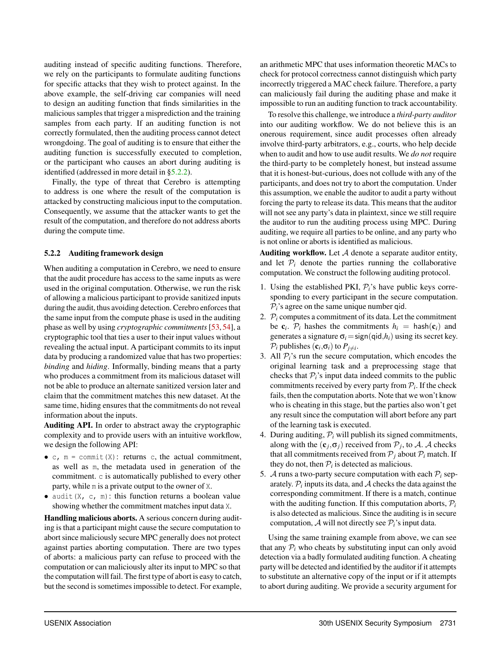auditing instead of specific auditing functions. Therefore, we rely on the participants to formulate auditing functions for specific attacks that they wish to protect against. In the above example, the self-driving car companies will need to design an auditing function that finds similarities in the malicious samples that trigger a misprediction and the training samples from each party. If an auditing function is not correctly formulated, then the auditing process cannot detect wrongdoing. The goal of auditing is to ensure that either the auditing function is successfully executed to completion, or the participant who causes an abort during auditing is identified (addressed in more detail in §5.2.2).

Finally, the type of threat that Cerebro is attempting to address is one where the result of the computation is attacked by constructing malicious input to the computation. Consequently, we assume that the attacker wants to get the result of the computation, and therefore do not address aborts during the compute time.

#### 5.2.2 Auditing framework design

When auditing a computation in Cerebro, we need to ensure that the audit procedure has access to the same inputs as were used in the original computation. Otherwise, we run the risk of allowing a malicious participant to provide sanitized inputs during the audit, thus avoiding detection. Cerebro enforces that the same input from the compute phase is used in the auditing phase as well by using *cryptographic commitments* [53, 54], a cryptographic tool that ties a user to their input values without revealing the actual input. A participant commits to its input data by producing a randomized value that has two properties: *binding* and *hiding*. Informally, binding means that a party who produces a commitment from its malicious dataset will not be able to produce an alternate sanitized version later and claim that the commitment matches this new dataset. At the same time, hiding ensures that the commitments do not reveal information about the inputs.

Auditing API. In order to abstract away the cryptographic complexity and to provide users with an intuitive workflow, we design the following API:

- *•* c, m = commit(X): returns c, the actual commitment, as well as m, the metadata used in generation of the commitment. c is automatically published to every other party, while m is a private output to the owner of X.
- audit (X, c, m): this function returns a boolean value showing whether the commitment matches input data X.

Handling malicious aborts. A serious concern during auditing is that a participant might cause the secure computation to abort since maliciously secure MPC generally does not protect against parties aborting computation. There are two types of aborts: a malicious party can refuse to proceed with the computation or can maliciously alter its input to MPC so that the computation will fail. The first type of abort is easy to catch, but the second is sometimes impossible to detect. For example, an arithmetic MPC that uses information theoretic MACs to check for protocol correctness cannot distinguish which party incorrectly triggered a MAC check failure. Therefore, a party can maliciously fail during the auditing phase and make it impossible to run an auditing function to track accountability.

To resolve this challenge, we introduce a *third-party auditor* into our auditing workflow. We do not believe this is an onerous requirement, since audit processes often already involve third-party arbitrators, e.g., courts, who help decide when to audit and how to use audit results. We *do not* require the third-party to be completely honest, but instead assume that it is honest-but-curious, does not collude with any of the participants, and does not try to abort the computation. Under this assumption, we enable the auditor to audit a party without forcing the party to release its data. This means that the auditor will not see any party's data in plaintext, since we still require the auditor to run the auditing process using MPC. During auditing, we require all parties to be online, and any party who is not online or aborts is identified as malicious.

Auditing workflow. Let *A* denote a separate auditor entity, and let  $P_i$  denote the parties running the collaborative computation. We construct the following auditing protocol.

- 1. Using the established PKI,  $P_i$ 's have public keys corresponding to every participant in the secure computation.  $P_i$ 's agree on the same unique number qid.
- 2.  $P_i$  computes a commitment of its data. Let the commitment be  $c_i$ .  $P_i$  hashes the commitments  $h_i = \text{hash}(c_i)$  and generates a signature  $\sigma_i =$ sign(qid, $h_i$ ) using its secret key.  $P_i$  publishes  $(c_i, \sigma_i)$  to  $P_{i \neq i}$ .
- 3. All  $P_i$ 's run the secure computation, which encodes the original learning task and a preprocessing stage that checks that  $P_i$ 's input data indeed commits to the public commitments received by every party from  $P_i$ . If the check fails, then the computation aborts. Note that we won't know who is cheating in this stage, but the parties also won't get any result since the computation will abort before any part of the learning task is executed.
- 4. During auditing,  $P_i$  will publish its signed commitments, along with the  $(c_j, \sigma_j)$  received from  $P_j$ , to *A*. *A* checks that all commitments received from  $P_j$  about  $P_i$  match. If they do not, then  $P_i$  is detected as malicious.
- 5. *A* runs a two-party secure computation with each  $P_i$  separately.  $P_i$  inputs its data, and  $A$  checks the data against the corresponding commitment. If there is a match, continue with the auditing function. If this computation aborts,  $P_i$ is also detected as malicious. Since the auditing is in secure computation,  $\mathcal A$  will not directly see  $\mathcal P_i$ 's input data.

Using the same training example from above, we can see that any  $P_i$  who cheats by substituting input can only avoid detection via a badly formulated auditing function. A cheating party will be detected and identified by the auditor if it attempts to substitute an alternative copy of the input or if it attempts to abort during auditing. We provide a security argument for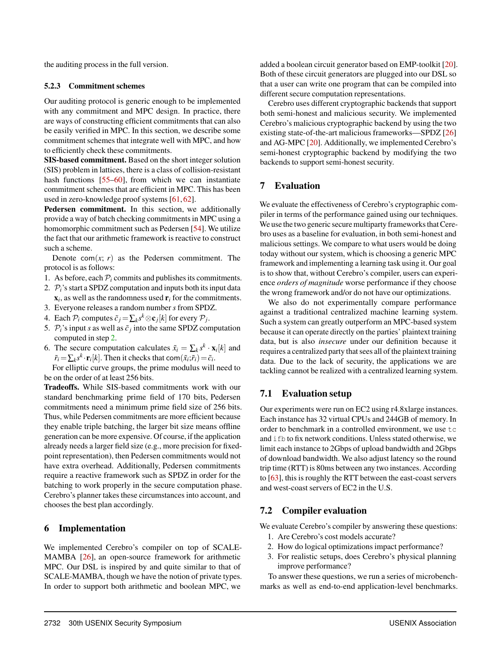the auditing process in the full version.

#### 5.2.3 Commitment schemes

Our auditing protocol is generic enough to be implemented with any commitment and MPC design. In practice, there are ways of constructing efficient commitments that can also be easily verified in MPC. In this section, we describe some commitment schemes that integrate well with MPC, and how to efficiently check these commitments.

SIS-based commitment. Based on the short integer solution (SIS) problem in lattices, there is a class of collision-resistant hash functions [55–60], from which we can instantiate commitment schemes that are efficient in MPC. This has been used in zero-knowledge proof systems [61, 62].

Pedersen commitment. In this section, we additionally provide a way of batch checking commitments in MPC using a homomorphic commitment such as Pedersen [54]. We utilize the fact that our arithmetic framework is reactive to construct such a scheme.

Denote com $(x; r)$  as the Pedersen commitment. The protocol is as follows:

- 1. As before, each  $P_i$  commits and publishes its commitments.
- 2.  $P_i$ 's start a SPDZ computation and inputs both its input data  $x_i$ , as well as the randomness used  $r_i$  for the commitments.
- 3. Everyone releases a random number *s* from SPDZ.
- 4. Each  $P_i$  computes  $\tilde{c}_i = \sum_k s^k \otimes \mathbf{c}_i[k]$  for every  $P_i$ .
- 5.  $P_i$ 's input *s* as well as  $\tilde{c}_i$  into the same SPDZ computation computed in step 2.
- 6. The secure computation calculates  $\tilde{x}_i = \sum_k s^k \cdot \mathbf{x}_i[k]$  and  $\tilde{r}_i = \sum_k s^k \cdot \mathbf{r}_i[k]$ . Then it checks that com $(\tilde{x}_i; \tilde{r}_i) = \tilde{c}_i$ .

For elliptic curve groups, the prime modulus will need to be on the order of at least 256 bits.

Tradeoffs. While SIS-based commitments work with our standard benchmarking prime field of 170 bits, Pedersen commitments need a minimum prime field size of 256 bits. Thus, while Pedersen commitments are more efficient because they enable triple batching, the larger bit size means offline generation can be more expensive. Of course, if the application already needs a larger field size (e.g., more precision for fixedpoint representation), then Pedersen commitments would not have extra overhead. Additionally, Pedersen commitments require a reactive framework such as SPDZ in order for the batching to work properly in the secure computation phase. Cerebro's planner takes these circumstances into account, and chooses the best plan accordingly.

# 6 Implementation

We implemented Cerebro's compiler on top of SCALE-MAMBA [26], an open-source framework for arithmetic MPC. Our DSL is inspired by and quite similar to that of SCALE-MAMBA, though we have the notion of private types. In order to support both arithmetic and boolean MPC, we

added a boolean circuit generator based on EMP-toolkit [20]. Both of these circuit generators are plugged into our DSL so that a user can write one program that can be compiled into different secure computation representations.

Cerebro uses different cryptographic backends that support both semi-honest and malicious security. We implemented Cerebro's malicious cryptographic backend by using the two existing state-of-the-art malicious frameworks—SPDZ [26] and AG-MPC [20]. Additionally, we implemented Cerebro's semi-honest cryptographic backend by modifying the two backends to support semi-honest security.

## 7 Evaluation

We evaluate the effectiveness of Cerebro's cryptographic compiler in terms of the performance gained using our techniques. We use the two generic secure multiparty frameworks that Cerebro uses as a baseline for evaluation, in both semi-honest and malicious settings. We compare to what users would be doing today without our system, which is choosing a generic MPC framework and implementing a learning task using it. Our goal is to show that, without Cerebro's compiler, users can experience *orders of magnitude* worse performance if they choose the wrong framework and/or do not have our optimizations.

We also do not experimentally compare performance against a traditional centralized machine learning system. Such a system can greatly outperform an MPC-based system because it can operate directly on the parties' plaintext training data, but is also *insecure* under our definition because it requires a centralized party that sees all of the plaintext training data. Due to the lack of security, the applications we are tackling cannot be realized with a centralized learning system.

# 7.1 Evaluation setup

Our experiments were run on EC2 using r4.8xlarge instances. Each instance has 32 virtual CPUs and 244GB of memory. In order to benchmark in a controlled environment, we use tc and ifb to fix network conditions. Unless stated otherwise, we limit each instance to 2Gbps of upload bandwidth and 2Gbps of download bandwidth. We also adjust latency so the round trip time (RTT) is 80ms between any two instances. According to [63], this is roughly the RTT between the east-coast servers and west-coast servers of EC2 in the U.S.

# 7.2 Compiler evaluation

We evaluate Cerebro's compiler by answering these questions:

- 1. Are Cerebro's cost models accurate?
- 2. How do logical optimizations impact performance?
- 3. For realistic setups, does Cerebro's physical planning improve performance?

To answer these questions, we run a series of microbenchmarks as well as end-to-end application-level benchmarks.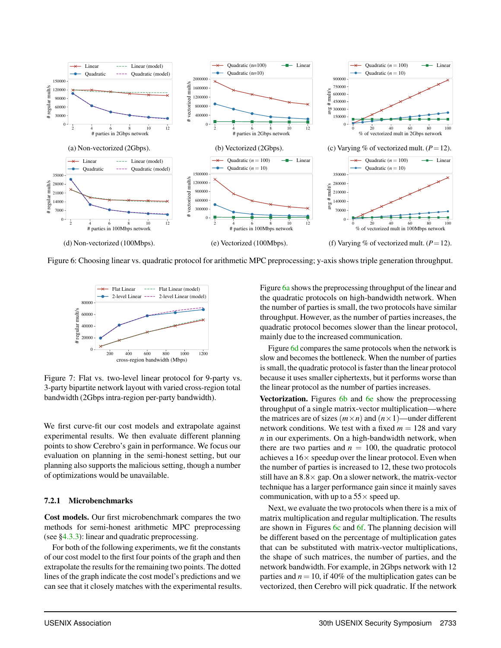

Figure 6: Choosing linear vs. quadratic protocol for arithmetic MPC preprocessing; y-axis shows triple generation throughput.



Figure 7: Flat vs. two-level linear protocol for 9-party vs. 3-party bipartite network layout with varied cross-region total bandwidth (2Gbps intra-region per-party bandwidth).

We first curve-fit our cost models and extrapolate against experimental results. We then evaluate different planning points to show Cerebro's gain in performance. We focus our evaluation on planning in the semi-honest setting, but our planning also supports the malicious setting, though a number of optimizations would be unavailable.

#### 7.2.1 Microbenchmarks

Cost models. Our first microbenchmark compares the two methods for semi-honest arithmetic MPC preprocessing (see §4.3.3): linear and quadratic preprocessing.

For both of the following experiments, we fit the constants of our cost model to the first four points of the graph and then extrapolate the results for the remaining two points. The dotted lines of the graph indicate the cost model's predictions and we can see that it closely matches with the experimental results. Figure 6a shows the preprocessing throughput of the linear and the quadratic protocols on high-bandwidth network. When the number of parties is small, the two protocols have similar throughput. However, as the number of parties increases, the quadratic protocol becomes slower than the linear protocol, mainly due to the increased communication.

Figure 6d compares the same protocols when the network is slow and becomes the bottleneck. When the number of parties is small, the quadratic protocol is faster than the linear protocol because it uses smaller ciphertexts, but it performs worse than the linear protocol as the number of parties increases.

Vectorization. Figures 6b and 6e show the preprocessing throughput of a single matrix-vector multiplication—where the matrices are of sizes  $(m \times n)$  and  $(n \times 1)$ —under different network conditions. We test with a fixed  $m = 128$  and vary *n* in our experiments. On a high-bandwidth network, when there are two parties and  $n = 100$ , the quadratic protocol achieves a  $16 \times$  speedup over the linear protocol. Even when the number of parties is increased to 12, these two protocols still have an  $8.8 \times$  gap. On a slower network, the matrix-vector technique has a larger performance gain since it mainly saves communication, with up to a  $55\times$  speed up.

Next, we evaluate the two protocols when there is a mix of matrix multiplication and regular multiplication. The results are shown in Figures 6c and 6f. The planning decision will be different based on the percentage of multiplication gates that can be substituted with matrix-vector multiplications, the shape of such matrices, the number of parties, and the network bandwidth. For example, in 2Gbps network with 12 parties and  $n = 10$ , if 40% of the multiplication gates can be vectorized, then Cerebro will pick quadratic. If the network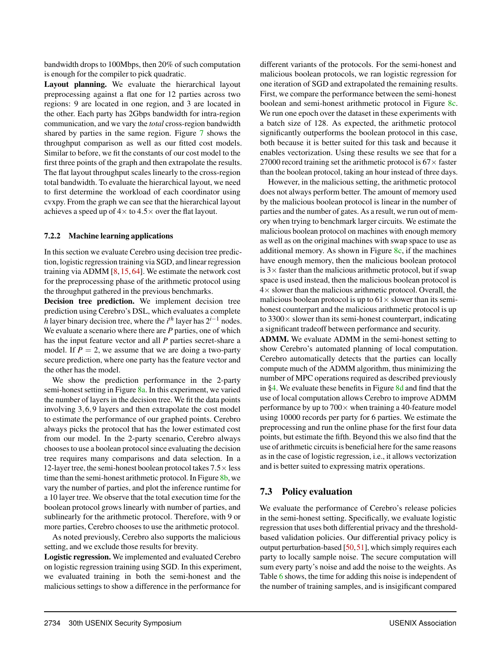bandwidth drops to 100Mbps, then 20% of such computation is enough for the compiler to pick quadratic.

Layout planning. We evaluate the hierarchical layout preprocessing against a flat one for 12 parties across two regions: 9 are located in one region, and 3 are located in the other. Each party has 2Gbps bandwidth for intra-region communication, and we vary the *total* cross-region bandwidth shared by parties in the same region. Figure 7 shows the throughput comparison as well as our fitted cost models. Similar to before, we fit the constants of our cost model to the first three points of the graph and then extrapolate the results. The flat layout throughput scales linearly to the cross-region total bandwidth. To evaluate the hierarchical layout, we need to first determine the workload of each coordinator using cvxpy. From the graph we can see that the hierarchical layout achieves a speed up of  $4 \times$  to  $4.5 \times$  over the flat layout.

#### 7.2.2 Machine learning applications

In this section we evaluate Cerebro using decision tree prediction, logistic regression training via SGD, and linear regression training via ADMM [8, 15, 64]. We estimate the network cost for the preprocessing phase of the arithmetic protocol using the throughput gathered in the previous benchmarks.

Decision tree prediction. We implement decision tree prediction using Cerebro's DSL, which evaluates a complete *h* layer binary decision tree, where the  $i^{th}$  layer has  $2^{i-1}$  nodes. We evaluate a scenario where there are *P* parties, one of which has the input feature vector and all *P* parties secret-share a model. If  $P = 2$ , we assume that we are doing a two-party secure prediction, where one party has the feature vector and the other has the model.

We show the prediction performance in the 2-party semi-honest setting in Figure 8a. In this experiment, we varied the number of layers in the decision tree. We fit the data points involving 3*,*6*,*9 layers and then extrapolate the cost model to estimate the performance of our graphed points. Cerebro always picks the protocol that has the lower estimated cost from our model. In the 2-party scenario, Cerebro always chooses to use a boolean protocol since evaluating the decision tree requires many comparisons and data selection. In a 12-layer tree, the semi-honest boolean protocol takes  $7.5\times$  less time than the semi-honest arithmetic protocol. In Figure 8b, we vary the number of parties, and plot the inference runtime for a 10 layer tree. We observe that the total execution time for the boolean protocol grows linearly with number of parties, and sublinearly for the arithmetic protocol. Therefore, with 9 or more parties, Cerebro chooses to use the arithmetic protocol.

As noted previously, Cerebro also supports the malicious setting, and we exclude those results for brevity.

Logistic regression. We implemented and evaluated Cerebro on logistic regression training using SGD. In this experiment, we evaluated training in both the semi-honest and the malicious settings to show a difference in the performance for

different variants of the protocols. For the semi-honest and malicious boolean protocols, we ran logistic regression for one iteration of SGD and extrapolated the remaining results. First, we compare the performance between the semi-honest boolean and semi-honest arithmetic protocol in Figure 8c. We run one epoch over the dataset in these experiments with a batch size of 128. As expected, the arithmetic protocol significantly outperforms the boolean protocol in this case, both because it is better suited for this task and because it enables vectorization. Using these results we see that for a 27000 record training set the arithmetic protocol is  $67 \times$  faster than the boolean protocol, taking an hour instead of three days.

However, in the malicious setting, the arithmetic protocol does not always perform better. The amount of memory used by the malicious boolean protocol is linear in the number of parties and the number of gates. As a result, we run out of memory when trying to benchmark larger circuits. We estimate the malicious boolean protocol on machines with enough memory as well as on the original machines with swap space to use as additional memory. As shown in Figure  $8c$ , if the machines have enough memory, then the malicious boolean protocol is  $3 \times$  faster than the malicious arithmetic protocol, but if swap space is used instead, then the malicious boolean protocol is  $4\times$  slower than the malicious arithmetic protocol. Overall, the malicious boolean protocol is up to  $61 \times$  slower than its semihonest counterpart and the malicious arithmetic protocol is up to  $3300 \times$  slower than its semi-honest counterpart, indicating a significant tradeoff between performance and security.

ADMM. We evaluate ADMM in the semi-honest setting to show Cerebro's automated planning of local computation. Cerebro automatically detects that the parties can locally compute much of the ADMM algorithm, thus minimizing the number of MPC operations required as described previously in §4. We evaluate these benefits in Figure 8d and find that the use of local computation allows Cerebro to improve ADMM performance by up to  $700\times$  when training a 40-feature model using 10000 records per party for 6 parties. We estimate the preprocessing and run the online phase for the first four data points, but estimate the fifth. Beyond this we also find that the use of arithmetic circuits is beneficial here for the same reasons as in the case of logistic regression, i.e., it allows vectorization and is better suited to expressing matrix operations.

# 7.3 Policy evaluation

We evaluate the performance of Cerebro's release policies in the semi-honest setting. Specifically, we evaluate logistic regression that uses both differential privacy and the thresholdbased validation policies. Our differential privacy policy is output perturbation-based [50,51], which simply requires each party to locally sample noise. The secure computation will sum every party's noise and add the noise to the weights. As Table 6 shows, the time for adding this noise is independent of the number of training samples, and is insigificant compared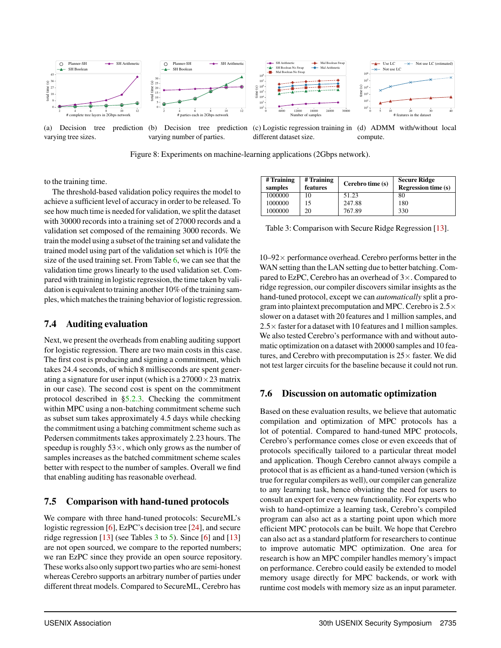

Figure 8: Experiments on machine-learning applications (2Gbps network).

to the training time.

The threshold-based validation policy requires the model to achieve a sufficient level of accuracy in order to be released. To see how much time is needed for validation, we split the dataset with 30000 records into a training set of 27000 records and a validation set composed of the remaining 3000 records. We train the model using a subset of the training set and validate the trained model using part of the validation set which is 10% the size of the used training set. From Table 6, we can see that the validation time grows linearly to the used validation set. Compared with training in logistic regression, the time taken by validation is equivalent to training another 10% of the training samples, which matches the training behavior of logistic regression.

# 7.4 Auditing evaluation

Next, we present the overheads from enabling auditing support for logistic regression. There are two main costs in this case. The first cost is producing and signing a commitment, which takes 24*.*4 seconds, of which 8 milliseconds are spent generating a signature for user input (which is a  $27000 \times 23$  matrix in our case). The second cost is spent on the commitment protocol described in §5.2.3. Checking the commitment within MPC using a non-batching commitment scheme such as subset sum takes approximately 4*.*5 days while checking the commitment using a batching commitment scheme such as Pedersen commitments takes approximately 2*.*23 hours. The speedup is roughly  $53\times$ , which only grows as the number of samples increases as the batched commitment scheme scales better with respect to the number of samples. Overall we find that enabling auditing has reasonable overhead.

# 7.5 Comparison with hand-tuned protocols

We compare with three hand-tuned protocols: SecureML's logistic regression [6], EzPC's decision tree [24], and secure ridge regression  $[13]$  (see Tables 3 to 5). Since  $[6]$  and  $[13]$ are not open sourced, we compare to the reported numbers; we ran EzPC since they provide an open source repository. These works also only support two parties who are semi-honest whereas Cerebro supports an arbitrary number of parties under different threat models. Compared to SecureML, Cerebro has

| # Training<br>samples | # Training<br>features | Cerebro time (s) | <b>Secure Ridge</b><br><b>Regression time (s)</b> |
|-----------------------|------------------------|------------------|---------------------------------------------------|
| 1000000               | 10                     | 51.23            | 80                                                |
| 1000000               | 15                     | 247.88           | 180                                               |
| 1000000               | 20                     | 767.89           | 330                                               |

Table 3: Comparison with Secure Ridge Regression [13].

 $10-92 \times$  performance overhead. Cerebro performs better in the WAN setting than the LAN setting due to better batching. Compared to EzPC, Cerebro has an overhead of  $3 \times$ . Compared to ridge regression, our compiler discovers similar insights as the hand-tuned protocol, except we can *automatically* split a program into plaintext precomputation and MPC. Cerebro is  $2.5 \times$ slower on a dataset with 20 features and 1 million samples, and  $2.5 \times$  faster for a dataset with 10 features and 1 million samples. We also tested Cerebro's performance with and without automatic optimization on a dataset with 20000 samples and 10 features, and Cerebro with precomputation is  $25 \times$  faster. We did not test larger circuits for the baseline because it could not run.

# 7.6 Discussion on automatic optimization

Based on these evaluation results, we believe that automatic compilation and optimization of MPC protocols has a lot of potential. Compared to hand-tuned MPC protocols, Cerebro's performance comes close or even exceeds that of protocols specifically tailored to a particular threat model and application. Though Cerebro cannot always compile a protocol that is as efficient as a hand-tuned version (which is true for regular compilers as well), our compiler can generalize to any learning task, hence obviating the need for users to consult an expert for every new functionality. For experts who wish to hand-optimize a learning task, Cerebro's compiled program can also act as a starting point upon which more efficient MPC protocols can be built. We hope that Cerebro can also act as a standard platform for researchers to continue to improve automatic MPC optimization. One area for research is how an MPC compiler handles memory's impact on performance. Cerebro could easily be extended to model memory usage directly for MPC backends, or work with runtime cost models with memory size as an input parameter.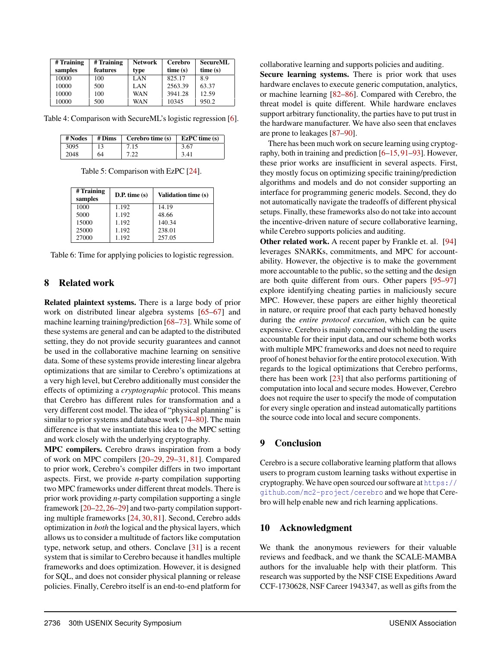| # Training | # Training | <b>Network</b> | Cerebro | <b>SecureML</b> |
|------------|------------|----------------|---------|-----------------|
| samples    | features   | type           | time(s) | time(s)         |
| 10000      | 100        | LAN            | 825.17  | 8.9             |
| 10000      | 500        | LAN            | 2563.39 | 63.37           |
| 10000      | 100        | <b>WAN</b>     | 3941.28 | 12.59           |
| 10000      | 500        | WAN            | 10345   | 950.2           |

Table 4: Comparison with SecureML's logistic regression [6].

| # Nodes | # Dims | Cerebro time (s) | $EzPC$ time (s) |
|---------|--------|------------------|-----------------|
| 3095    |        | 7.15             | 3.67            |
| 2048    | 64     | 7.22             | 3.41            |

Table 5: Comparison with EzPC [24].

| # Training<br>samples | $D.P.$ time $(s)$ | <b>Validation time (s)</b> |
|-----------------------|-------------------|----------------------------|
| 1000                  | 1.192             | 14.19                      |
| 5000                  | 1.192             | 48.66                      |
| 15000                 | 1.192             | 140.34                     |
| 25000                 | 1.192             | 238.01                     |
| 27000                 | 1.192             | 257.05                     |

Table 6: Time for applying policies to logistic regression.

## 8 Related work

Related plaintext systems. There is a large body of prior work on distributed linear algebra systems [65–67] and machine learning training/prediction [68–73]. While some of these systems are general and can be adapted to the distributed setting, they do not provide security guarantees and cannot be used in the collaborative machine learning on sensitive data. Some of these systems provide interesting linear algebra optimizations that are similar to Cerebro's optimizations at a very high level, but Cerebro additionally must consider the effects of optimizing a *cryptographic* protocol. This means that Cerebro has different rules for transformation and a very different cost model. The idea of "physical planning" is similar to prior systems and database work [74–80]. The main difference is that we instantiate this idea to the MPC setting and work closely with the underlying cryptography.

MPC compilers. Cerebro draws inspiration from a body of work on MPC compilers [20–29, 29–31, 81]. Compared to prior work, Cerebro's compiler differs in two important aspects. First, we provide *n*-party compilation supporting two MPC frameworks under different threat models. There is prior work providing *n*-party compilation supporting a single framework [20–22,26–29] and two-party compilation supporting multiple frameworks [24, 30, 81]. Second, Cerebro adds optimization in *both* the logical and the physical layers, which allows us to consider a multitude of factors like computation type, network setup, and others. Conclave [31] is a recent system that is similar to Cerebro because it handles multiple frameworks and does optimization. However, it is designed for SQL, and does not consider physical planning or release policies. Finally, Cerebro itself is an end-to-end platform for

collaborative learning and supports policies and auditing.

Secure learning systems. There is prior work that uses hardware enclaves to execute generic computation, analytics, or machine learning [82–86]. Compared with Cerebro, the threat model is quite different. While hardware enclaves support arbitrary functionality, the parties have to put trust in the hardware manufacturer. We have also seen that enclaves are prone to leakages [87–90].

There has been much work on secure learning using cryptography, both in training and prediction [6–15, 91–93]. However, these prior works are insufficient in several aspects. First, they mostly focus on optimizing specific training/prediction algorithms and models and do not consider supporting an interface for programming generic models. Second, they do not automatically navigate the tradeoffs of different physical setups. Finally, these frameworks also do not take into account the incentive-driven nature of secure collaborative learning, while Cerebro supports policies and auditing.

Other related work. A recent paper by Frankle et. al. [94] leverages SNARKs, commitments, and MPC for accountability. However, the objective is to make the government more accountable to the public, so the setting and the design are both quite different from ours. Other papers [95–97] explore identifying cheating parties in maliciously secure MPC. However, these papers are either highly theoretical in nature, or require proof that each party behaved honestly during the *entire protocol execution*, which can be quite expensive. Cerebro is mainly concerned with holding the users accountable for their input data, and our scheme both works with multiple MPC frameworks and does not need to require proof of honest behavior for the entire protocol execution. With regards to the logical optimizations that Cerebro performs, there has been work [23] that also performs partitioning of computation into local and secure modes. However, Cerebro does not require the user to specify the mode of computation for every single operation and instead automatically partitions the source code into local and secure components.

## 9 Conclusion

Cerebro is a secure collaborative learning platform that allows users to program custom learning tasks without expertise in cryptography. We have open sourced our software at https:// github*.*com/mc2-project/cerebro and we hope that Cerebro will help enable new and rich learning applications.

## 10 Acknowledgment

We thank the anonymous reviewers for their valuable reviews and feedback, and we thank the SCALE-MAMBA authors for the invaluable help with their platform. This research was supported by the NSF CISE Expeditions Award CCF-1730628, NSF Career 1943347, as well as gifts from the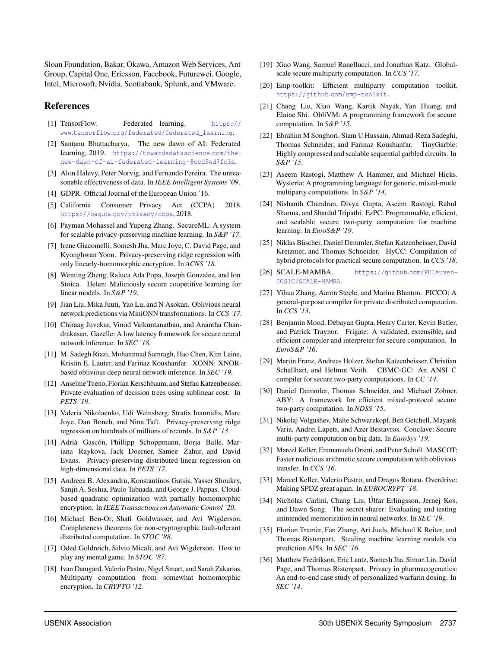Sloan Foundation, Bakar, Okawa, Amazon Web Services, Ant Group, Capital One, Ericsson, Facebook, Futurewei, Google, Intel, Microsoft, Nvidia, Scotiabank, Splunk, and VMware.

## **References**

- [1] TensorFlow. Federated learning. https:// www*.*tensorflow*.*org/federated/federated\_learning.
- [2] Santanu Bhattacharya. The new dawn of AI: Federated learning, 2019. https://towardsdatascience*.*com/thenew-dawn-of-ai-federated-learning-8ccd9ed7fc3a.
- [3] Alon Halevy, Peter Norvig, and Fernando Pereira. The unreasonable effectiveness of data. In *IEEE Intelligent Systems '09*.
- [4] GDPR. Official Journal of the European Union '16.
- [5] California Consumer Privacy Act (CCPA) 2018. https://oag*.*ca*.*gov/privacy/ccpa, 2018.
- [6] Payman Mohassel and Yupeng Zhang. SecureML: A system for scalable privacy-preserving machine learning. In *S&P '17*.
- [7] Irene Giacomelli, Somesh Jha, Marc Joye, C. David Page, and Kyonghwan Yoon. Privacy-preserving ridge regression with only linearly-homomorphic encryption. In *ACNS '18*.
- [8] Wenting Zheng, Raluca Ada Popa, Joseph Gonzalez, and Ion Stoica. Helen: Maliciously secure coopetitive learning for linear models. In *S&P '19*.
- [9] Jian Liu, Mika Juuti, Yao Lu, and N Asokan. Oblivious neural network predictions via MiniONN transformations. In *CCS '17*.
- [10] Chiraag Juvekar, Vinod Vaikuntanathan, and Anantha Chandrakasan. Gazelle: A low latency framework for secure neural network inference. In *SEC '18*.
- [11] M. Sadegh Riazi, Mohammad Samragh, Hao Chen, Kim Laine, Kristin E. Lauter, and Farinaz Koushanfar. XONN: XNORbased oblivious deep neural network inference. In *SEC '19*.
- [12] Anselme Tueno, Florian Kerschbaum, and Stefan Katzenbeisser. Private evaluation of decision trees using sublinear cost. In *PETS '19*.
- [13] Valeria Nikolaenko, Udi Weinsberg, Stratis Ioannidis, Marc Joye, Dan Boneh, and Nina Taft. Privacy-preserving ridge regression on hundreds of millions of records. In *S&P '13*.
- [14] Adrià Gascón, Phillipp Schoppmann, Borja Balle, Mariana Raykova, Jack Doerner, Samee Zahur, and David Evans. Privacy-preserving distributed linear regression on high-dimensional data. In *PETS '17*.
- [15] Andreea B. Alexandru, Konstantinos Gatsis, Yasser Shoukry, Sanjit A. Seshia, Paulo Tabuada, and George J. Pappas. Cloudbased quadratic optimization with partially homomorphic encryption. In *IEEE Transactions on Automatic Control '20*.
- [16] Michael Ben-Or, Shafi Goldwasser, and Avi Wigderson. Completeness theorems for non-cryptographic fault-tolerant distributed computation. In *STOC '88*.
- [17] Oded Goldreich, Silvio Micali, and Avi Wigderson. How to play any mental game. In *STOC '87*.
- [18] Ivan Damgård, Valerio Pastro, Nigel Smart, and Sarah Zakarias. Multiparty computation from somewhat homomorphic encryption. In *CRYPTO '12*.
- [19] Xiao Wang, Samuel Ranellucci, and Jonathan Katz. Globalscale secure multiparty computation. In *CCS '17*.
- [20] Emp-toolkit: Efficient multiparty computation toolkit. https://github*.*com/emp-toolkit.
- [21] Chang Liu, Xiao Wang, Kartik Nayak, Yan Huang, and Elaine Shi. ObliVM: A programming framework for secure computation. In *S&P '15*.
- [22] Ebrahim M Songhori, Siam U Hussain, Ahmad-Reza Sadeghi, Thomas Schneider, and Farinaz Koushanfar. TinyGarble: Highly compressed and scalable sequential garbled circuits. In *S&P '15*.
- [23] Aseem Rastogi, Matthew A Hammer, and Michael Hicks. Wysteria: A programming language for generic, mixed-mode multiparty computations. In *S&P '14*.
- [24] Nishanth Chandran, Divya Gupta, Aseem Rastogi, Rahul Sharma, and Shardul Tripathi. EzPC: Programmable, efficient, and scalable secure two-party computation for machine learning. In *EuroS&P '19*.
- [25] Niklas Büscher, Daniel Demmler, Stefan Katzenbeisser, David Kretzmer, and Thomas Schneider. HyCC: Compilation of hybrid protocols for practical secure computation. In *CCS '18*.
- [26] SCALE-MAMBA. https://github*.*com/KULeuven-COSIC/SCALE-MAMBA.
- [27] Yihua Zhang, Aaron Steele, and Marina Blanton. PICCO: A general-purpose compiler for private distributed computation. In *CCS '13*.
- [28] Benjamin Mood, Debayan Gupta, Henry Carter, Kevin Butler, and Patrick Traynor. Frigate: A validated, extensible, and efficient compiler and interpreter for secure computation. In *EuroS&P '16*.
- [29] Martin Franz, Andreas Holzer, Stefan Katzenbeisser, Christian Schallhart, and Helmut Veith. CBMC-GC: An ANSI C compiler for secure two-party computations. In *CC '14*.
- [30] Daniel Demmler, Thomas Schneider, and Michael Zohner. ABY: A framework for efficient mixed-protocol secure two-party computation. In *NDSS '15*.
- [31] Nikolaj Volgushev, Malte Schwarzkopf, Ben Getchell, Mayank Varia, Andrei Lapets, and Azer Bestavros. Conclave: Secure multi-party computation on big data. In *EuroSys '19*.
- [32] Marcel Keller, Emmanuela Orsini, and Peter Scholl. MASCOT: Faster malicious arithmetic secure computation with oblivious transfer. In *CCS '16*.
- [33] Marcel Keller, Valerio Pastro, and Dragos Rotaru. Overdrive: Making SPDZ great again. In *EUROCRYPT '18*.
- [34] Nicholas Carlini, Chang Liu, Úlfar Erlingsson, Jernej Kos, and Dawn Song. The secret sharer: Evaluating and testing unintended memorization in neural networks. In *SEC '19*.
- [35] Florian Tramèr, Fan Zhang, Ari Juels, Michael K Reiter, and Thomas Ristenpart. Stealing machine learning models via prediction APIs. In *SEC '16*.
- [36] Matthew Fredrikson, Eric Lantz, Somesh Jha, Simon Lin, David Page, and Thomas Ristenpart. Privacy in pharmacogenetics: An end-to-end case study of personalized warfarin dosing. In *SEC '14*.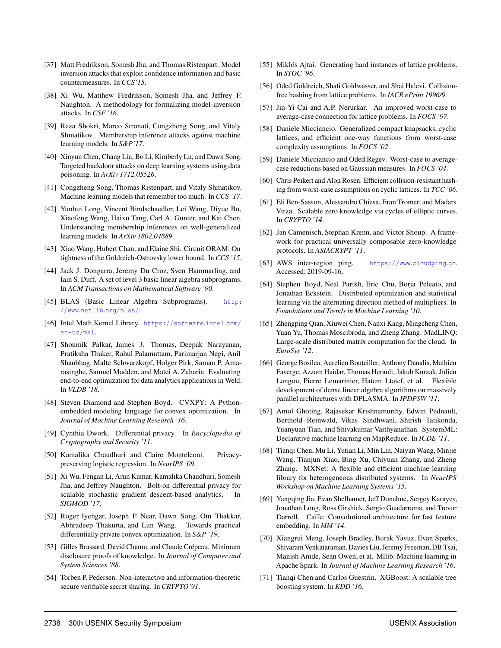- [37] Matt Fredrikson, Somesh Jha, and Thomas Ristenpart. Model inversion attacks that exploit confidence information and basic countermeasures. In *CCS'15*.
- [38] Xi Wu, Matthew Fredrikson, Somesh Jha, and Jeffrey F. Naughton. A methodology for formalizing model-inversion attacks. In *CSF '16*.
- [39] Reza Shokri, Marco Stronati, Congzheng Song, and Vitaly Shmatikov. Membership inference attacks against machine learning models. In *S&P'17*.
- [40] Xinyun Chen, Chang Liu, Bo Li, Kimberly Lu, and Dawn Song. Targeted backdoor attacks on deep learning systems using data poisoning. In *ArXiv 1712.05526*.
- [41] Congzheng Song, Thomas Ristenpart, and Vitaly Shmatikov. Machine learning models that remember too much. In *CCS '17*.
- [42] Yunhui Long, Vincent Bindschaedler, Lei Wang, Diyue Bu, Xiaofeng Wang, Haixu Tang, Carl A. Gunter, and Kai Chen. Understanding membership inferences on well-generalized learning models. In *ArXiv 1802.04889*.
- [43] Xiao Wang, Hubert Chan, and Elaine Shi. Circuit ORAM: On tightness of the Goldreich-Ostrovsky lower bound. In *CCS '15*.
- [44] Jack J. Dongarra, Jeremy Du Croz, Sven Hammarling, and Iain S. Duff. A set of level 3 basic linear algebra subprograms. In *ACM Transactions on Mathematical Software '90*.
- [45] BLAS (Basic Linear Algebra Subprograms). http: //www*.*netlib*.*org/blas/.
- [46] Intel Math Kernel Library. https://software*.*intel*.*com/ en-us/mkl.
- [47] Shoumik Palkar, James J. Thomas, Deepak Narayanan, Pratiksha Thaker, Rahul Palamuttam, Parimarjan Negi, Anil Shanbhag, Malte Schwarzkopf, Holger Pirk, Saman P. Amarasinghe, Samuel Madden, and Matei A. Zaharia. Evaluating end-to-end optimization for data analytics applications in Weld. In *VLDB '18*.
- [48] Steven Diamond and Stephen Boyd. CVXPY: A Pythonembedded modeling language for convex optimization. In *Journal of Machine Learning Research '16*.
- [49] Cynthia Dwork. Differential privacy. In *Encyclopedia of Cryptography and Security '11*.
- [50] Kamalika Chaudhuri and Claire Monteleoni. Privacypreserving logistic regression. In *NeurIPS '09*.
- [51] Xi Wu, Fengan Li, Arun Kumar, Kamalika Chaudhuri, Somesh Jha, and Jeffrey Naughton. Bolt-on differential privacy for scalable stochastic gradient descent-based analytics. In *SIGMOD '17*.
- [52] Roger Iyengar, Joseph P Near, Dawn Song, Om Thakkar, Abhradeep Thakurta, and Lun Wang. Towards practical differentially private convex optimization. In *S&P '19*.
- [53] Gilles Brassard, David Chaum, and Claude Crépeau. Minimum disclosure proofs of knowledge. In *Journal of Computer and System Sciences '88*.
- [54] Torben P. Pedersen. Non-interactive and information-theoretic secure verifiable secret sharing. In *CRYPTO'91*.
- [55] Miklós Ajtai. Generating hard instances of lattice problems. In *STOC '96*.
- [56] Oded Goldreich, Shafi Goldwasser, and Shai Halevi. Collisionfree hashing from lattice problems. In *IACR ePrint 1996/9*.
- [57] Jin-Yi Cai and A.P. Nerurkar. An improved worst-case to average-case connection for lattice problems. In *FOCS '97*.
- [58] Daniele Micciancio. Generalized compact knapsacks, cyclic lattices, and efficient one-way functions from worst-case complexity assumptions. In *FOCS '02*.
- [59] Daniele Micciancio and Oded Regev. Worst-case to averagecase reductions based on Gaussian measures. In *FOCS '04*.
- [60] Chris Peikert and Alon Rosen. Efficient collision-resistant hashing from worst-case assumptions on cyclic lattices. In *TCC '06*.
- [61] Eli Ben-Sasson, Alessandro Chiesa, Eran Tromer, and Madars Virza. Scalable zero knowledge via cycles of elliptic curves. In *CRYPTO '14*.
- [62] Jan Camenisch, Stephan Krenn, and Victor Shoup. A framework for practical universally composable zero-knowledge protocols. In *ASIACRYPT '11*.
- [63] AWS inter-region ping. https://www*.*cloudping*.*co. Accessed: 2019-09-16.
- [64] Stephen Boyd, Neal Parikh, Eric Chu, Borja Peleato, and Jonathan Eckstein. Distributed optimization and statistical learning via the alternating direction method of multipliers. In *Foundations and Trends in Machine Learning '10*.
- [65] Zhengping Qian, Xiuwei Chen, Nanxi Kang, Mingcheng Chen, Yuan Yu, Thomas Moscibroda, and Zheng Zhang. MadLINQ: Large-scale distributed matrix computation for the cloud. In *EuroSys '12*.
- [66] George Bosilca, Aurelien Bouteiller, Anthony Danalis, Mathieu Faverge, Azzam Haidar, Thomas Herault, Jakub Kurzak, Julien Langou, Pierre Lemarinier, Hatem Ltaief, et al. Flexible development of dense linear algebra algorithms on massively parallel architectures with DPLASMA. In *IPDPSW '11*.
- [67] Amol Ghoting, Rajasekar Krishnamurthy, Edwin Pednault, Berthold Reinwald, Vikas Sindhwani, Shirish Tatikonda, Yuanyuan Tian, and Shivakumar Vaithyanathan. SystemML: Declarative machine learning on MapReduce. In *ICDE '11*.
- [68] Tianqi Chen, Mu Li, Yutian Li, Min Lin, Naiyan Wang, Minjie Wang, Tianjun Xiao, Bing Xu, Chiyuan Zhang, and Zheng Zhang. MXNet: A flexible and efficient machine learning library for heterogeneous distributed systems. In *NeurIPS Workshop on Machine Learning Systems '15*.
- [69] Yangqing Jia, Evan Shelhamer, Jeff Donahue, Sergey Karayev, Jonathan Long, Ross Girshick, Sergio Guadarrama, and Trevor Darrell. Caffe: Convolutional architecture for fast feature embedding. In *MM '14*.
- [70] Xiangrui Meng, Joseph Bradley, Burak Yavuz, Evan Sparks, Shivaram Venkataraman, Davies Liu, Jeremy Freeman, DB Tsai, Manish Amde, Sean Owen, et al. Mllib: Machine learning in Apache Spark. In *Journal of Machine Learning Research '16*.
- [71] Tianqi Chen and Carlos Guestrin. XGBoost: A scalable tree boosting system. In *KDD '16*.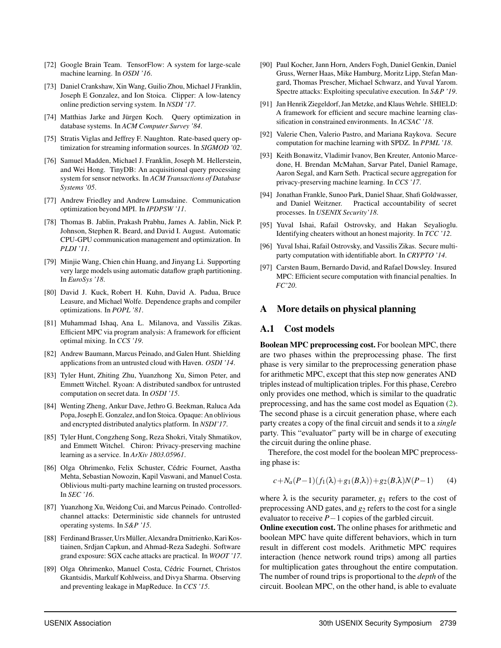- [72] Google Brain Team. TensorFlow: A system for large-scale machine learning. In *OSDI '16*.
- [73] Daniel Crankshaw, Xin Wang, Guilio Zhou, Michael J Franklin, Joseph E Gonzalez, and Ion Stoica. Clipper: A low-latency online prediction serving system. In *NSDI '17*.
- [74] Matthias Jarke and Jürgen Koch. Query optimization in database systems. In *ACM Computer Survey '84*.
- [75] Stratis Viglas and Jeffrey F. Naughton. Rate-based query optimization for streaming information sources. In *SIGMOD '02*.
- [76] Samuel Madden, Michael J. Franklin, Joseph M. Hellerstein, and Wei Hong. TinyDB: An acquisitional query processing system for sensor networks. In *ACM Transactions of Database Systems '05*.
- [77] Andrew Friedley and Andrew Lumsdaine. Communication optimization beyond MPI. In *IPDPSW '11*.
- [78] Thomas B. Jablin, Prakash Prabhu, James A. Jablin, Nick P. Johnson, Stephen R. Beard, and David I. August. Automatic CPU-GPU communication management and optimization. In *PLDI '11*.
- [79] Minjie Wang, Chien chin Huang, and Jinyang Li. Supporting very large models using automatic dataflow graph partitioning. In *EuroSys '18*.
- [80] David J. Kuck, Robert H. Kuhn, David A. Padua, Bruce Leasure, and Michael Wolfe. Dependence graphs and compiler optimizations. In *POPL '81*.
- [81] Muhammad Ishaq, Ana L. Milanova, and Vassilis Zikas. Efficient MPC via program analysis: A framework for efficient optimal mixing. In *CCS '19*.
- [82] Andrew Baumann, Marcus Peinado, and Galen Hunt. Shielding applications from an untrusted cloud with Haven. *OSDI '14*.
- [83] Tyler Hunt, Zhiting Zhu, Yuanzhong Xu, Simon Peter, and Emmett Witchel. Ryoan: A distributed sandbox for untrusted computation on secret data. In *OSDI '15*.
- [84] Wenting Zheng, Ankur Dave, Jethro G. Beekman, Raluca Ada Popa, Joseph E. Gonzalez, and Ion Stoica. Opaque: An oblivious and encrypted distributed analytics platform. In *NSDI'17*.
- [85] Tyler Hunt, Congzheng Song, Reza Shokri, Vitaly Shmatikov, and Emmett Witchel. Chiron: Privacy-preserving machine learning as a service. In *ArXiv 1803.05961*.
- [86] Olga Ohrimenko, Felix Schuster, Cédric Fournet, Aastha Mehta, Sebastian Nowozin, Kapil Vaswani, and Manuel Costa. Oblivious multi-party machine learning on trusted processors. In *SEC '16*.
- [87] Yuanzhong Xu, Weidong Cui, and Marcus Peinado. Controlledchannel attacks: Deterministic side channels for untrusted operating systems. In *S&P '15*.
- [88] Ferdinand Brasser, Urs Müller, Alexandra Dmitrienko, Kari Kostiainen, Srdjan Capkun, and Ahmad-Reza Sadeghi. Software grand exposure: SGX cache attacks are practical. In *WOOT '17*.
- [89] Olga Ohrimenko, Manuel Costa, Cédric Fournet, Christos Gkantsidis, Markulf Kohlweiss, and Divya Sharma. Observing and preventing leakage in MapReduce. In *CCS '15*.
- [90] Paul Kocher, Jann Horn, Anders Fogh, Daniel Genkin, Daniel Gruss, Werner Haas, Mike Hamburg, Moritz Lipp, Stefan Mangard, Thomas Prescher, Michael Schwarz, and Yuval Yarom. Spectre attacks: Exploiting speculative execution. In *S&P '19*.
- [91] Jan Henrik Ziegeldorf, Jan Metzke, and Klaus Wehrle. SHIELD: A framework for efficient and secure machine learning classification in constrained environments. In *ACSAC '18*.
- [92] Valerie Chen, Valerio Pastro, and Mariana Raykova. Secure computation for machine learning with SPDZ. In *PPML '18*.
- [93] Keith Bonawitz, Vladimir Ivanov, Ben Kreuter, Antonio Marcedone, H. Brendan McMahan, Sarvar Patel, Daniel Ramage, Aaron Segal, and Karn Seth. Practical secure aggregation for privacy-preserving machine learning. In *CCS '17*.
- [94] Jonathan Frankle, Sunoo Park, Daniel Shaar, Shafi Goldwasser, and Daniel Weitzner. Practical accountability of secret processes. In *USENIX Security'18*.
- [95] Yuval Ishai, Rafail Ostrovsky, and Hakan Seyalioglu. Identifying cheaters without an honest majority. In *TCC '12*.
- [96] Yuval Ishai, Rafail Ostrovsky, and Vassilis Zikas. Secure multiparty computation with identifiable abort. In *CRYPTO '14*.
- [97] Carsten Baum, Bernardo David, and Rafael Dowsley. Insured MPC: Efficient secure computation with financial penalties. In *FC'20*.

#### A More details on physical planning

## A.1 Cost models

Boolean MPC preprocessing cost. For boolean MPC, there are two phases within the preprocessing phase. The first phase is very similar to the preprocessing generation phase for arithmetic MPC, except that this step now generates AND triples instead of multiplication triples. For this phase, Cerebro only provides one method, which is similar to the quadratic preprocessing, and has the same cost model as Equation (2). The second phase is a circuit generation phase, where each party creates a copy of the final circuit and sends it to a *single* party. This "evaluator" party will be in charge of executing the circuit during the online phase.

Therefore, the cost model for the boolean MPC preprocessing phase is:

$$
c + N_a(P - 1)(f_1(\lambda) + g_1(B, \lambda)) + g_2(B, \lambda)N(P - 1)
$$
 (4)

where  $\lambda$  is the security parameter,  $g_1$  refers to the cost of preprocessing AND gates, and *g*<sup>2</sup> refers to the cost for a single evaluator to receive  $P-1$  copies of the garbled circuit.

Online execution cost. The online phases for arithmetic and boolean MPC have quite different behaviors, which in turn result in different cost models. Arithmetic MPC requires interaction (hence network round trips) among all parties for multiplication gates throughout the entire computation. The number of round trips is proportional to the *depth* of the circuit. Boolean MPC, on the other hand, is able to evaluate